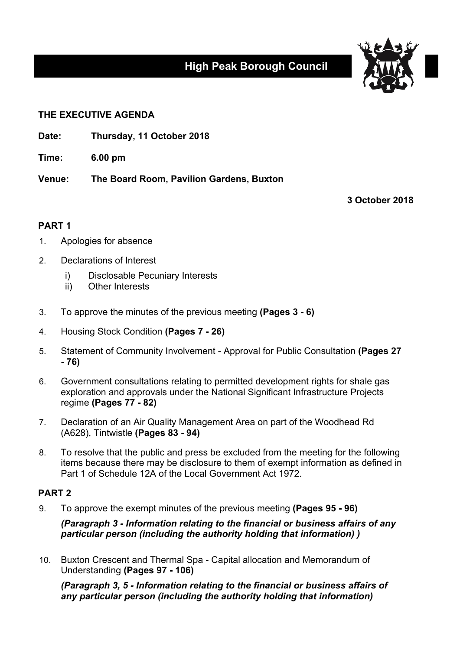# **High Peak Borough Council**



#### **THE EXECUTIVE AGENDA**

**Date: Thursday, 11 October 2018**

**Time: 6.00 pm**

**Venue: The Board Room, Pavilion Gardens, Buxton**

**3 October 2018**

### **PART 1**

- 1. Apologies for absence
- 2. Declarations of Interest
	- i) Disclosable Pecuniary Interests
	- ii) Other Interests
- 3. To approve the minutes of the previous meeting **(Pages 3 - 6)**
- 4. Housing Stock Condition **(Pages 7 - 26)**
- 5. Statement of Community Involvement Approval for Public Consultation **(Pages 27 - 76)**
- 6. Government consultations relating to permitted development rights for shale gas exploration and approvals under the National Significant Infrastructure Projects regime **(Pages 77 - 82)**
- 7. Declaration of an Air Quality Management Area on part of the Woodhead Rd (A628), Tintwistle **(Pages 83 - 94)**
- 8. To resolve that the public and press be excluded from the meeting for the following items because there may be disclosure to them of exempt information as defined in Part 1 of Schedule 12A of the Local Government Act 1972.

## **PART 2**

9. To approve the exempt minutes of the previous meeting **(Pages 95 - 96)**

*(Paragraph 3 - Information relating to the financial or business affairs of any particular person (including the authority holding that information) )*

10. Buxton Crescent and Thermal Spa - Capital allocation and Memorandum of Understanding **(Pages 97 - 106)**

*(Paragraph 3, 5 - Information relating to the financial or business affairs of any particular person (including the authority holding that information)*